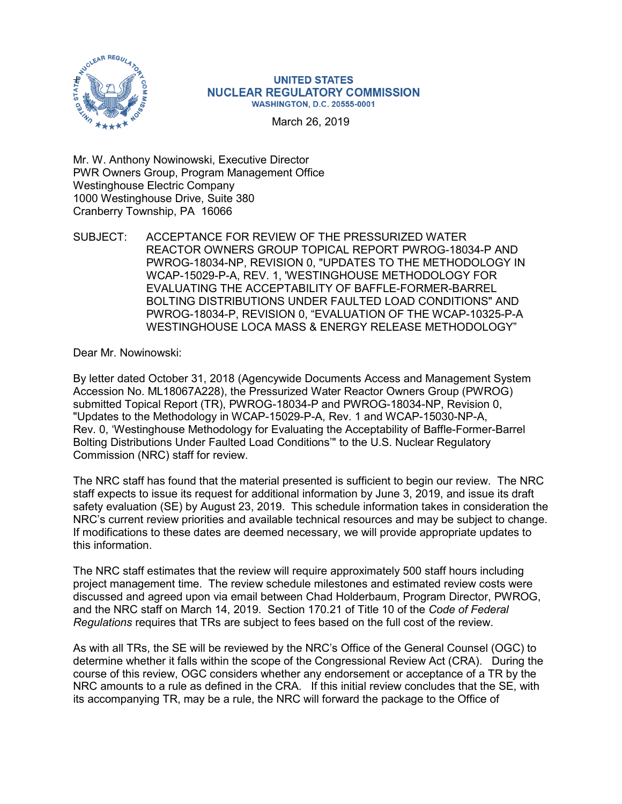

## **UNITED STATES NUCLEAR REGULATORY COMMISSION WASHINGTON, D.C. 20555-0001**

March 26, 2019

Mr. W. Anthony Nowinowski, Executive Director PWR Owners Group, Program Management Office Westinghouse Electric Company 1000 Westinghouse Drive, Suite 380 Cranberry Township, PA 16066

SUBJECT: ACCEPTANCE FOR REVIEW OF THE PRESSURIZED WATER REACTOR OWNERS GROUP TOPICAL REPORT PWROG-18034-P AND PWROG-18034-NP, REVISION 0, "UPDATES TO THE METHODOLOGY IN WCAP-15029-P-A, REV. 1, 'WESTINGHOUSE METHODOLOGY FOR EVALUATING THE ACCEPTABILITY OF BAFFLE-FORMER-BARREL BOLTING DISTRIBUTIONS UNDER FAULTED LOAD CONDITIONS" AND PWROG-18034-P, REVISION 0, "EVALUATION OF THE WCAP-10325-P-A WESTINGHOUSE LOCA MASS & ENERGY RELEASE METHODOLOGY"

Dear Mr. Nowinowski:

By letter dated October 31, 2018 (Agencywide Documents Access and Management System Accession No. ML18067A228), the Pressurized Water Reactor Owners Group (PWROG) submitted Topical Report (TR), PWROG-18034-P and PWROG-18034-NP, Revision 0, "Updates to the Methodology in WCAP-15029-P-A, Rev. 1 and WCAP-15030-NP-A, Rev. 0, 'Westinghouse Methodology for Evaluating the Acceptability of Baffle-Former-Barrel Bolting Distributions Under Faulted Load Conditions'" to the U.S. Nuclear Regulatory Commission (NRC) staff for review.

The NRC staff has found that the material presented is sufficient to begin our review. The NRC staff expects to issue its request for additional information by June 3, 2019, and issue its draft safety evaluation (SE) by August 23, 2019. This schedule information takes in consideration the NRC's current review priorities and available technical resources and may be subject to change. If modifications to these dates are deemed necessary, we will provide appropriate updates to this information.

The NRC staff estimates that the review will require approximately 500 staff hours including project management time. The review schedule milestones and estimated review costs were discussed and agreed upon via email between Chad Holderbaum, Program Director, PWROG, and the NRC staff on March 14, 2019. Section 170.21 of Title 10 of the *Code of Federal Regulations* requires that TRs are subject to fees based on the full cost of the review.

As with all TRs, the SE will be reviewed by the NRC's Office of the General Counsel (OGC) to determine whether it falls within the scope of the Congressional Review Act (CRA). During the course of this review, OGC considers whether any endorsement or acceptance of a TR by the NRC amounts to a rule as defined in the CRA. If this initial review concludes that the SE, with its accompanying TR, may be a rule, the NRC will forward the package to the Office of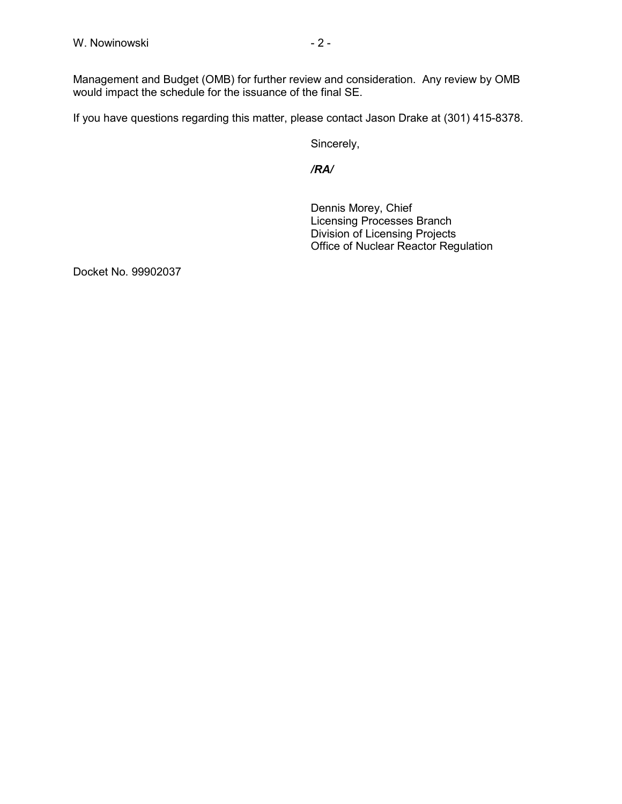Management and Budget (OMB) for further review and consideration. Any review by OMB would impact the schedule for the issuance of the final SE.

If you have questions regarding this matter, please contact Jason Drake at (301) 415-8378.

Sincerely,

*/RA/*

Dennis Morey, Chief Licensing Processes Branch Division of Licensing Projects Office of Nuclear Reactor Regulation

Docket No. 99902037